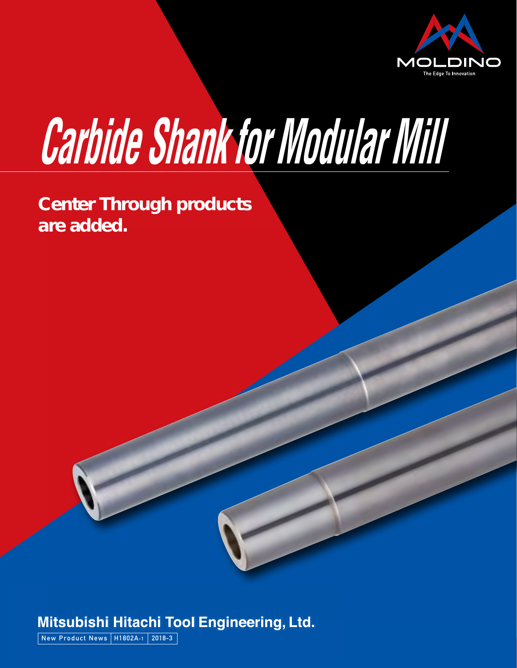

# **Carbide Shank for Modular Mill**

*Center Through products are added.*

#### Mitsubishi Hitachi Tool Engineering, Ltd.

**New Product News H1802A-1 2018-3**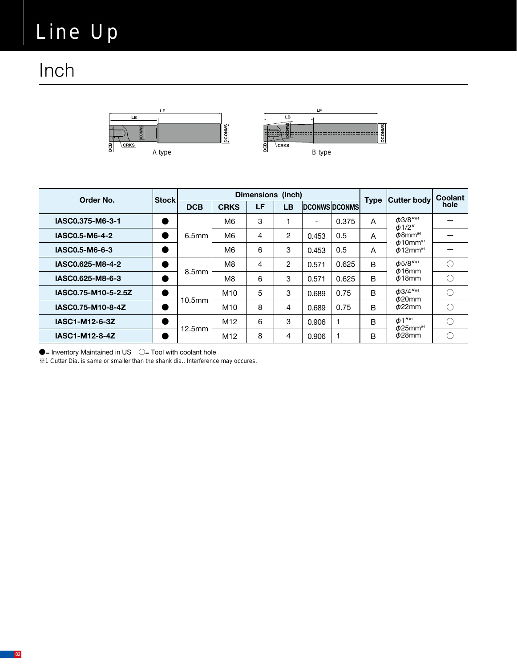## Line Up

## Inch Metric Contract of the Metric Contract of the Metric Contract of the Metric Contract of the Metric Contract of the Metric Contract of the Metric Contract of the Metric Contract of the Metric Contract of the Metric Con





| Order No.           | <b>Stock</b> | Dimensions (Inch)  |                 |    |    |                          |                      | <b>Type</b>  | <b>Cutter body</b>                                                                                                 | Coolant   |
|---------------------|--------------|--------------------|-----------------|----|----|--------------------------|----------------------|--------------|--------------------------------------------------------------------------------------------------------------------|-----------|
|                     |              | <b>DCB</b>         | <b>CRKS</b>     | LF | LВ |                          | <b>DCONWS DCONMS</b> |              |                                                                                                                    | hole      |
| IASC0.375-M6-3-1    |              | 6.5mm              | M <sub>6</sub>  | 3  |    | $\overline{\phantom{0}}$ | 0.375                | A            | $\phi$ 3/8"*1<br>$\phi$ 1/2"<br>$\phi$ 8mm <sup>**</sup><br>$\phi$ 10mm <sup>*1</sup><br>$\phi$ 12mm <sup>*1</sup> |           |
| IASC0.5-M6-4-2      |              |                    | M <sub>6</sub>  | 4  | 2  | 0.453                    | 0.5                  | A            |                                                                                                                    |           |
| IASC0.5-M6-6-3      |              |                    | M <sub>6</sub>  | 6  | 3  | 0.453                    | 0.5                  | A            |                                                                                                                    |           |
| IASC0.625-M8-4-2    |              | 8.5mm              | M8              | 4  | 2  | 0.571                    | 0.625                | B            | $\phi$ 5/8"*1<br>$\phi$ 16mm<br>$\phi$ 18mm                                                                        |           |
| IASC0.625-M8-6-3    |              |                    | M8              | 6  | 3  | 0.571                    | 0.625                | B            |                                                                                                                    |           |
| IASC0.75-M10-5-2.5Z |              | 10.5 <sub>mm</sub> | M <sub>10</sub> | 5  | 3  | 0.689                    | 0.75                 | B            | $\phi$ 3/4"*1<br>$\phi$ 20mm                                                                                       |           |
| IASC0.75-M10-8-4Z   |              |                    | M10             | 8  | 4  | 0.689                    | 0.75                 | B            | $\phi$ 22mm                                                                                                        | $\subset$ |
| IASC1-M12-6-3Z      |              | 12.5mm             | M <sub>12</sub> | 6  | 3  | 0.906                    | 1                    | <sub>B</sub> | $\phi$ 1"*1<br>$\phi$ 25mm <sup>*1</sup>                                                                           |           |
| IASC1-M12-8-4Z      |              |                    | M <sub>12</sub> | 8  | 4  | 0.906                    |                      | B            | $\phi$ 28mm                                                                                                        |           |

 $\bullet$  = Inventory Maintained in US  $\circ$   $\circ$  Tool with coolant hole

※1 Cutter Dia. is same or smaller than the shank dia.. Interference may occures.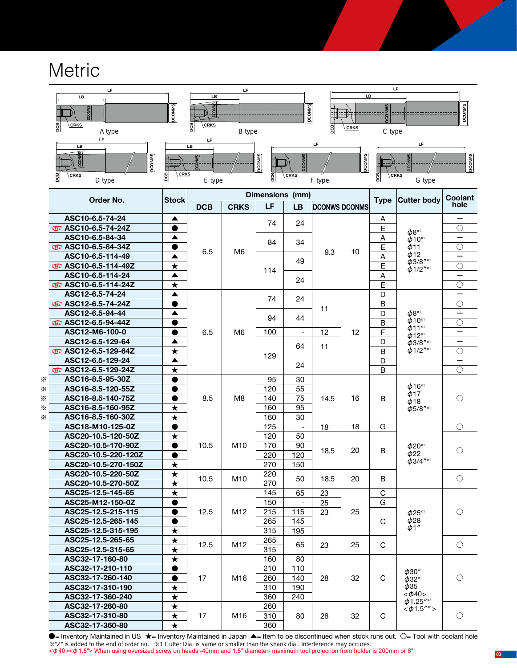### **Metric**



●= Inventory Maintained in US ★= Inventory Maintained in Japan ▲= Item to be discontinued when stock runs out. 〇= Tool with coolant hole ※"Z" is added to the end of order no. ※1 Cutter Dia. is same or smaller than the shank dia.. Interference may occures. <sup>&</sup>lt;φ40><φ1.5″> When using oversized screw on heads -40mm and 1.5″ diameter- maximum tool projecrion from holder is 200mm or 8″ **<sup>02</sup> <sup>03</sup>**